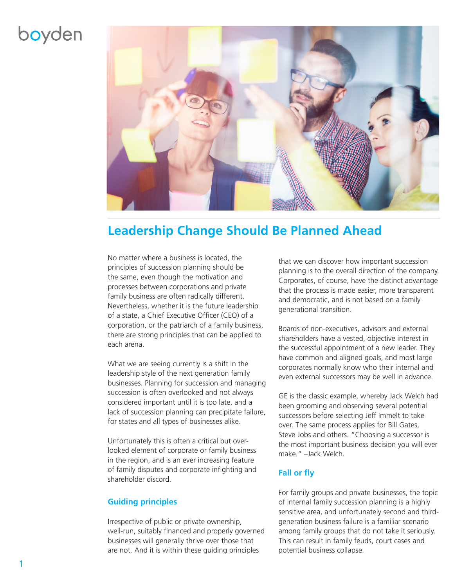## boyden



## **Leadership Change Should Be Planned Ahead**

No matter where a business is located, the principles of succession planning should be the same, even though the motivation and processes between corporations and private family business are often radically different. Nevertheless, whether it is the future leadership of a state, a Chief Executive Officer (CEO) of a corporation, or the patriarch of a family business, there are strong principles that can be applied to each arena.

What we are seeing currently is a shift in the leadership style of the next generation family businesses. Planning for succession and managing succession is often overlooked and not always considered important until it is too late, and a lack of succession planning can precipitate failure, for states and all types of businesses alike.

Unfortunately this is often a critical but overlooked element of corporate or family business in the region, and is an ever increasing feature of family disputes and corporate infighting and shareholder discord.

## **Guiding principles**

Irrespective of public or private ownership, well-run, suitably financed and properly governed businesses will generally thrive over those that are not. And it is within these guiding principles

that we can discover how important succession planning is to the overall direction of the company. Corporates, of course, have the distinct advantage that the process is made easier, more transparent and democratic, and is not based on a family generational transition.

Boards of non-executives, advisors and external shareholders have a vested, objective interest in the successful appointment of a new leader. They have common and aligned goals, and most large corporates normally know who their internal and even external successors may be well in advance.

GE is the classic example, whereby Jack Welch had been grooming and observing several potential successors before selecting Jeff Immelt to take over. The same process applies for Bill Gates, Steve Jobs and others. "Choosing a successor is the most important business decision you will ever make." –Jack Welch.

## **Fall or fly**

For family groups and private businesses, the topic of internal family succession planning is a highly sensitive area, and unfortunately second and thirdgeneration business failure is a familiar scenario among family groups that do not take it seriously. This can result in family feuds, court cases and potential business collapse.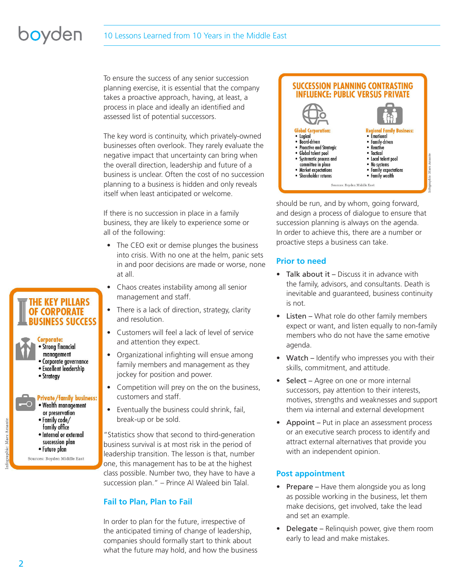# boyden

### 10 Lessons Learned from 10 Years in the Middle East

To ensure the success of any senior succession planning exercise, it is essential that the company takes a proactive approach, having, at least, a process in place and ideally an identified and assessed list of potential successors.

The key word is continuity, which privately-owned businesses often overlook. They rarely evaluate the negative impact that uncertainty can bring when the overall direction, leadership and future of a business is unclear. Often the cost of no succession planning to a business is hidden and only reveals itself when least anticipated or welcome.

If there is no succession in place in a family business, they are likely to experience some or all of the following:

- The CEO exit or demise plunges the business into crisis. With no one at the helm, panic sets in and poor decisions are made or worse, none at all.
- Chaos creates instability among all senior management and staff.
- There is a lack of direction, strategy, clarity and resolution.
- Customers will feel a lack of level of service and attention they expect.
- Organizational infighting will ensue among family members and management as they jockey for position and power.
- Competition will prey on the on the business, customers and staff.
- Eventually the business could shrink, fail, break-up or be sold.

"Statistics show that second to third-generation business survival is at most risk in the period of leadership transition. The lesson is that, number one, this management has to be at the highest class possible. Number two, they have to have a succession plan." – Prince Al Waleed bin Talal.

## **Fail to Plan, Plan to Fail**

In order to plan for the future, irrespective of the anticipated timing of change of leadership, companies should formally start to think about what the future may hold, and how the business

#### **SUCCESSION PLANNING CONTRASTING INFLUENCE: PUBLIC VERSUS PRIVATE Regional Family Business: Global Corporation:** • Emotional • Logical · Board-driven • Family-driven · Proactive and Strategic Reactive · Global talent pool · Tactical · Systematic process and • Local talent pool committee in place • No systems • Family expectations • Market expectations · Shareholder returns • Family wealth Sources: Boyden Middle East

should be run, and by whom, going forward, and design a process of dialogue to ensure that succession planning is always on the agenda. In order to achieve this, there are a number or proactive steps a business can take.

## **Prior to need**

- Talk about it Discuss it in advance with the family, advisors, and consultants. Death is inevitable and guaranteed, business continuity is not.
- Listen What role do other family members expect or want, and listen equally to non-family members who do not have the same emotive agenda.
- Watch Identify who impresses you with their skills, commitment, and attitude.
- Select Agree on one or more internal successors, pay attention to their interests, motives, strengths and weaknesses and support them via internal and external development
- Appoint Put in place an assessment process or an executive search process to identify and attract external alternatives that provide you with an independent opinion.

## **Post appointment**

- **Prepare** Have them alongside you as long as possible working in the business, let them make decisions, get involved, take the lead and set an example.
- Delegate Relinquish power, give them room early to lead and make mistakes.

## **THE KEY PILLARS OF CORPORATE BUSINESS SUCCESS**



- or preservation • Family code/ family office
- · Internal or external succession plan
- Future plan
- Sources: Boyden Middle East

fographic: Marx Amante